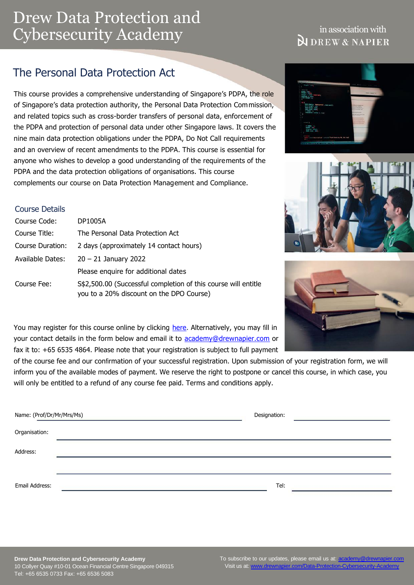# Drew Data Protection and Cybersecurity Academy

## in association with **N** DREW & NAPIER

## The Personal Data Protection Act

This course provides a comprehensive understanding of Singapore's PDPA, the role of Singapore's data protection authority, the Personal Data Protection Commission, and related topics such as cross-border transfers of personal data, enforcement of the PDPA and protection of personal data under other Singapore laws. It covers the nine main data protection obligations under the PDPA, Do Not Call requirements and an overview of recent amendments to the PDPA. This course is essential for anyone who wishes to develop a good understanding of the requirements of the PDPA and the data protection obligations of organisations. This course complements our course on Data Protection Management and Compliance.

#### Course Details

| Course Code:     | <b>DP1005A</b>                                                                                             |  |  |
|------------------|------------------------------------------------------------------------------------------------------------|--|--|
| Course Title:    | The Personal Data Protection Act                                                                           |  |  |
| Course Duration: | 2 days (approximately 14 contact hours)                                                                    |  |  |
| Available Dates: | $20 - 21$ January 2022                                                                                     |  |  |
|                  | Please enquire for additional dates                                                                        |  |  |
| Course Fee:      | S\$2,500.00 (Successful completion of this course will entitle<br>you to a 20% discount on the DPO Course) |  |  |







You may register for this course online by clicking [here.](https://www.drewnapier.com/Course-Registration-Form-CS?eventid=61) Alternatively, you may fill in your contact details in the form below and email it to [academy@drewnapier.com](mailto:academy@drewnapier.com) or fax it to: +65 6535 4864. Please note that your registration is subject to full payment

of the course fee and our confirmation of your successful registration. Upon submission of your registration form, we will inform you of the available modes of payment. We reserve the right to postpone or cancel this course, in which case, you will only be entitled to a refund of any course fee paid. Terms and conditions apply.

| Name: (Prof/Dr/Mr/Mrs/Ms) |  | Designation: |  |
|---------------------------|--|--------------|--|
| Organisation:             |  |              |  |
| Address:                  |  |              |  |
|                           |  |              |  |
| Email Address:            |  | Tel:         |  |